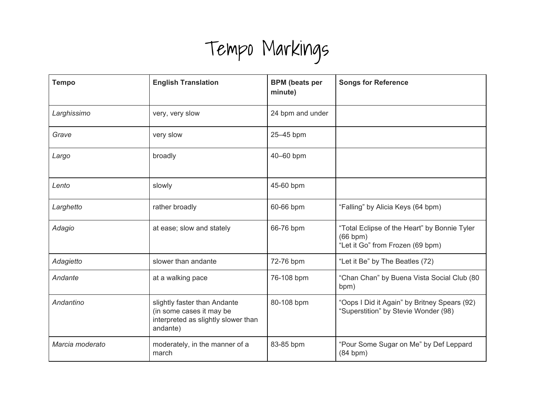## Tempo Markings

| <b>Tempo</b>    | <b>English Translation</b>                                                                                  | <b>BPM</b> (beats per<br>minute) | <b>Songs for Reference</b>                                                                        |
|-----------------|-------------------------------------------------------------------------------------------------------------|----------------------------------|---------------------------------------------------------------------------------------------------|
| Larghissimo     | very, very slow                                                                                             | 24 bpm and under                 |                                                                                                   |
| Grave           | very slow                                                                                                   | 25-45 bpm                        |                                                                                                   |
| Largo           | broadly                                                                                                     | 40-60 bpm                        |                                                                                                   |
| Lento           | slowly                                                                                                      | 45-60 bpm                        |                                                                                                   |
| Larghetto       | rather broadly                                                                                              | 60-66 bpm                        | "Falling" by Alicia Keys (64 bpm)                                                                 |
| Adagio          | at ease; slow and stately                                                                                   | 66-76 bpm                        | "Total Eclipse of the Heart" by Bonnie Tyler<br>$(66$ bpm $)$<br>"Let it Go" from Frozen (69 bpm) |
| Adagietto       | slower than andante                                                                                         | 72-76 bpm                        | "Let it Be" by The Beatles (72)                                                                   |
| Andante         | at a walking pace                                                                                           | 76-108 bpm                       | "Chan Chan" by Buena Vista Social Club (80<br>bpm)                                                |
| Andantino       | slightly faster than Andante<br>(in some cases it may be<br>interpreted as slightly slower than<br>andante) | 80-108 bpm                       | "Oops I Did it Again" by Britney Spears (92)<br>"Superstition" by Stevie Wonder (98)              |
| Marcia moderato | moderately, in the manner of a<br>march                                                                     | 83-85 bpm                        | "Pour Some Sugar on Me" by Def Leppard<br>(84 bpm)                                                |